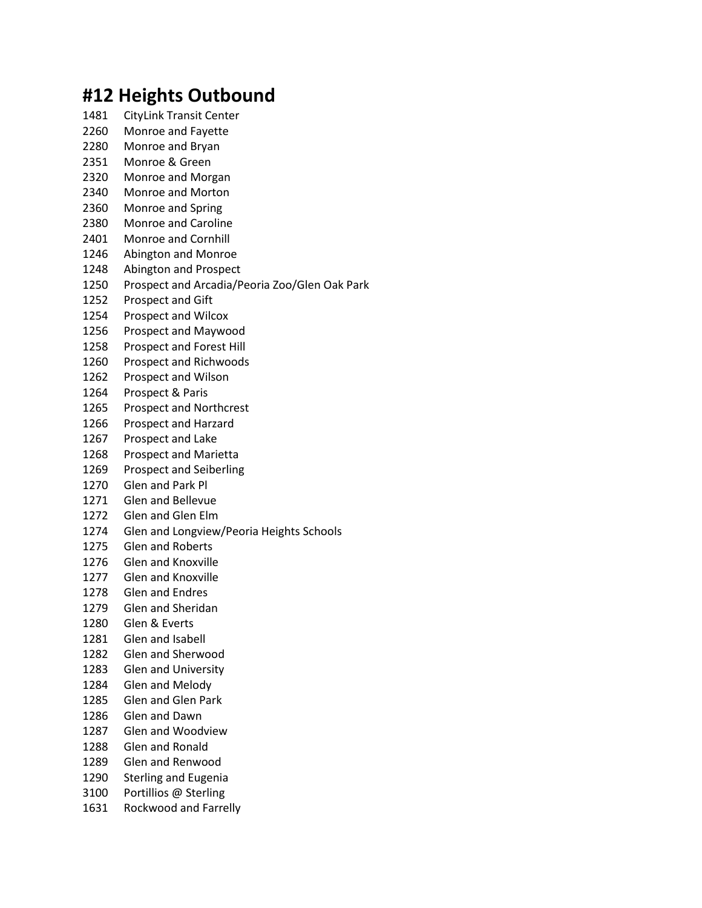## **#12 Heights Outbound**

- CityLink Transit Center
- Monroe and Fayette
- Monroe and Bryan
- Monroe & Green
- Monroe and Morgan
- Monroe and Morton
- Monroe and Spring
- Monroe and Caroline
- Monroe and Cornhill
- Abington and Monroe
- Abington and Prospect
- Prospect and Arcadia/Peoria Zoo/Glen Oak Park
- Prospect and Gift
- Prospect and Wilcox
- Prospect and Maywood
- Prospect and Forest Hill
- Prospect and Richwoods
- Prospect and Wilson
- Prospect & Paris
- Prospect and Northcrest
- Prospect and Harzard
- Prospect and Lake
- Prospect and Marietta
- Prospect and Seiberling
- Glen and Park Pl
- Glen and Bellevue
- Glen and Glen Elm
- Glen and Longview/Peoria Heights Schools
- Glen and Roberts
- Glen and Knoxville
- Glen and Knoxville
- Glen and Endres
- Glen and Sheridan
- Glen & Everts
- Glen and Isabell
- Glen and Sherwood
- Glen and University
- Glen and Melody
- Glen and Glen Park
- Glen and Dawn
- Glen and Woodview
- Glen and Ronald
- Glen and Renwood
- Sterling and Eugenia
- Portillios @ Sterling
- Rockwood and Farrelly